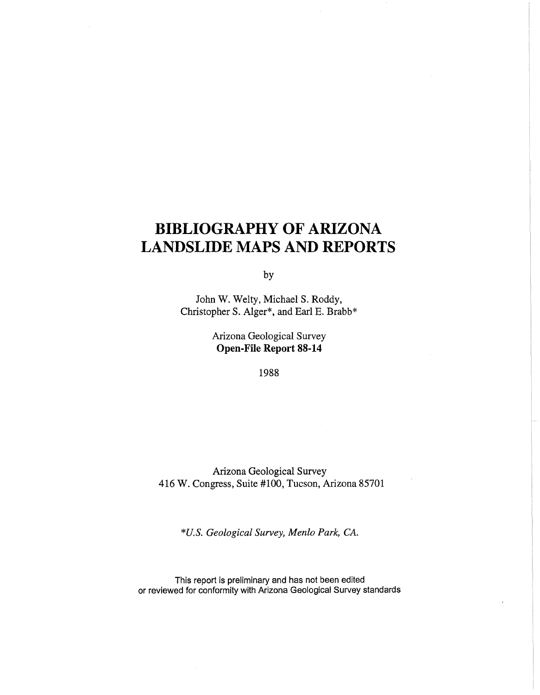## **BIBLIOGRAPHY OF ARIZONA LANDSLIDE MAPS AND REPORTS**

by

John W. Welty, Michael S. Roddy, Christopher S. Alger\*, and Earl E. Brabb\*

> Arizona Geological Survey **Open-File Report 88-14**

> > 1988

Arizona Geological Survey 416 W. Congress, Suite #100, Tucson, Arizona 85701

*\*U.S. Geological Survey, Menlo Park, CA.* 

This report is preliminary and has not been edited or reviewed for conformity with Arizona Geological Survey standards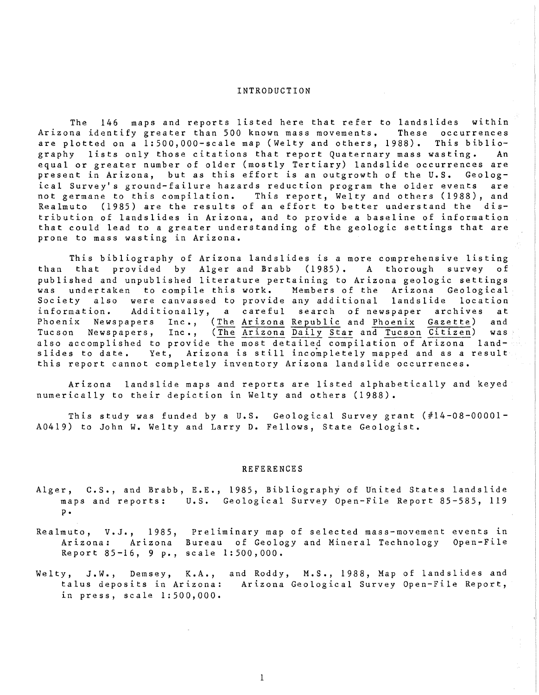## INTRODUCTION

The 146 maps and reports listed here that refer to landslides within<br>na identify greater than 500 known mass movements. These occurrences Arizona identify greater than 500 known mass movements. are plotted on a 1:500,000-scale map (Welty and others, 1988). This bibliography lists only those citations that report Quaternary mass wasting. An equal or greater number of older (mostly Tertiary) landslide occurrences are present in Arizona, but as this effort is an outgrowth of the U.S. Geological Survey's ground-failure hazards reduction program the older events are not germane to this compilation. This report, Welty and others (1988), and Realmuto (1985) are the results of an effort to better understand the distribution of landslides in Arizona, and to provide a baseline of information that could lead to a greater understanding of the geologic settings that are prone to mass wasting in Arizona.

This bibliography of Arizona landslides is a more comprehensive listing<br>than that provided by Alger and Brabb (1985). A thorough survey of that provided by Alger and Brabb (1985). A thorough survey of published and unpublished literature pertaining to Arizona geologic settings Members of the Arizona Geological<br>any additional landslide location Society also were canvassed to provide any additional landslide location<br>information. Additionally, a careful search of newspaper archives at information. Additionally, a careful search of newspaper<br>Phoenix Newspapers Inc., (The Arizona-Republic and Phoenix ( Newspapers Inc., (The Arizona Republic and Phoenix Gazette) and Tucson Newspapers, Inc., (The Arizona Daily Star and Tucson Citizen) was also accomplished to provide the most detailed compilation of Arizona landslides to date. Yet, Arizona is still incompletely mapped and as a result this report cannot completely inventory Arizona landslide occurrences.

Arizona landslide maps and reports are listed alphabetically and keyed numerically to their depiction in Welty and others (1988).

This study was funded by a U.S. Geological Survey grant (#14-08-00001- A0419) to John W. Welty and Larry D. Fellows, State Geologist.

## REFERENCES

- Alger, C.S., and Brabb, E.E., 1985, Bibliography of United States landslide maps and reports: U.S. Geological Survey Open-File Report 85-585, 119 p.
- Realmuto, V.J., 1985, Preliminary map of selected mass-movement events in Arizona: Arizona Bureau of Geology and Mineral Technology Report 85-16, 9 p., scale  $1:500,000$ . Open-File
- Welty, J.W., Demsey, K.A., and Roddy, M.S., 1988, Map of landslides and talus deposits in Arizona: Arizona Geological Survey Open-File Report, in press, scale 1:500,000.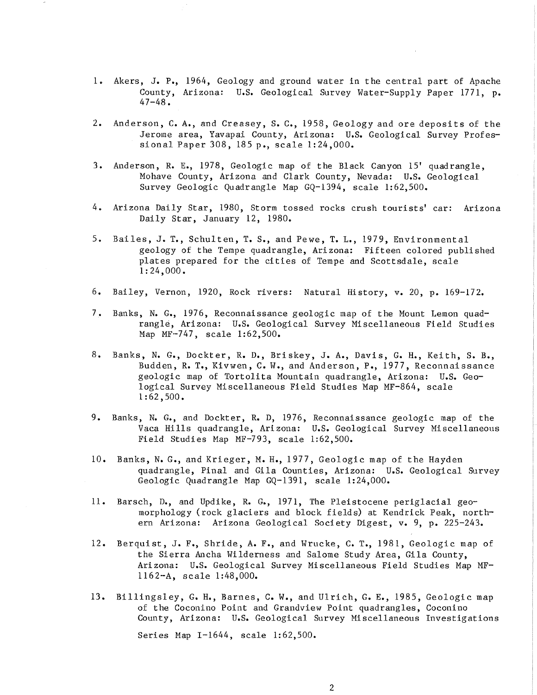- 1. Akers, J. P., 1964, Geology and ground water in the central part of Apache County, Arizona: U.S. Geological Survey Water-Supply Paper 1771, p. 47-48.
- 2. Anderson, C. A., and Creasey, S. C., 1958, Geology and ore deposits of the Jerome area, Yavapai County, Arizona: U.S. Geological Survey Professional Paper 308, 185 p., scale 1:24,000.
- 3. Anderson, R. E., 1978, Geologic map of the Black Canyon 15' quadrangle, Mohave County, Arizona and Clark County, Nevada: u.s. Geological Survey Geologic Quadrangle Map GQ-1394, scale 1:62,500.
- 4. Arizona Daily Star, 1980, Storm tossed rocks crush tourists' car: Arizona Daily Star, January 12, 1980.
- 5. Bailes, J. T., Schulten, T. S., and Pewe, T. L., 1979, Environmental geology of the Tempe quadrangle, Arizona: Fifteen colored published plates prepared for the cities of Tempe and Scottsdale, scale 1:24,000.
- 6. Bailey, Vernon, 1920, Rock rivers: Natural History, v. 20, p. 169-172.
- 7. Banks, N. G., 1976, Reconnaissance geologic map of the Mount Lemon quadrangle, Arizona: U.S. Geological Survey Miscellaneous Field Studies Map MF-747, scale 1:62,500.
- 8. Banks, N. G., Dockter, R. D., Briskey, J. A., Davis, G. H., Keith, S. B., Budden, R. T., Kivwen, C. W., and Anderson, P., 1977, Reconnaissance geologic map of Tortolita Mountain quadrangle, Arizona: U.S. Geological Survey Miscellaneous Field Studies Map MF-864, scale 1:62,500.
- 9. Banks, N. G., and Dockter, R. D, 1976, Reconnaissance geologic map of the Vaca Hills quadrangle, Arizona: u.S. Geo10gical Survey Miscellaneous Field Studies Map MF-793, scale 1:62,500.
- 10. Banks, N. G., and Krieger, M. H., 1977, Geologic map of the Hayden quadrangle, Pinal and Gila Counties, Arizona: U.S. Geological Survey Geologic Quadrangle Map GQ-1391, scale 1:24,000.
- 11. Barsch, D., and Updike, R. G., 1971, The Pleistocene periglacial geomorphology (rock glaciers and block fields) at Kendrick Peak, northern Arizona: Arizona Geological Society Digest, v. 9, p. 225-243.
- 12. Berquist, J. F., Shride, A. F., and Wrucke, C. T., 1981, Geologic map of the Sierra Ancha Wilderness and Salome Study Area, Gila County, Arizona: U.S. Geological Survey Miscellaneous Field Studies Map MF-1162-A, scale 1:48,000.
- l3. Billingsley, G. H., Barnes, C. W., and Ulrich, G. E., 1985, Geologic map of the Coconino Point and Grandview Point quadrangles, Coconino County, Arizona: U.S. Geological Survey Mi scellaneous Investigations

Series Map 1-1644, scale 1:62,500.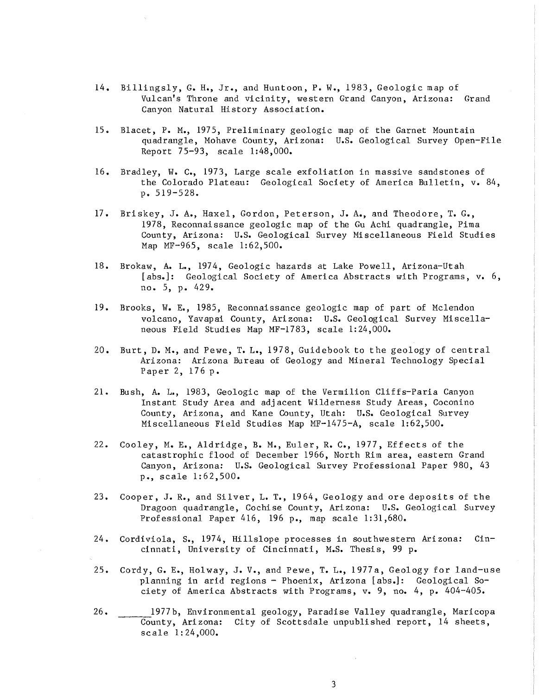- 14. Billingsly, G. H., Jr., and Huntoon, P. W., 1983, Geologic map of Vulcan's Throne and vicinity, western Grand Canyon, Arizona: Grand Canyon Natural History Association.
- 15. Blacet, P. M., 1975, Preliminary geologic map of the Garnet Mountain quadrangle, Mohave County, Arizona: U.S. Geological Survey Open-File Report 75-93, scale 1:48,000.
- 16. Bradley, W. C., 1973, Large scale exfoliation in massive sandstones of the Colorado Plateau: Geological Society of America Bulletin, v. 84, p. 519-528.
- 17. Briskey, J. A., Haxel, Gordon, Peterson, J. A., and Theodore, T. G., 1978, Reconnaissance geologic map of the Gu Achi quadrangle, Pima County, Arizona: u.S. Geological Survey Miscellaneous Field Studies Map MF-965, scale 1:62,500.
- 18. Brokaw, A. L., 1974, Geologic hazards at Lake Powell, Arizona-Utah [abs.]: Geological Society of America Abstracts with Programs, v. 6, no. 5, p. 429.
- 19. Brooks, W. E., 1985, Reconnaissance geologic map of part of Mclendon volcano, Yavapai County, Arizona: U.S. Geological Survey Miscellaneous Field Studies Map MF-1783, scale 1:24,000.
- 20. Burt, D. M., and Pewe, T. L., 1978, Guidebook to the geology of central Arizona: Arizona Bureau of Geology and Mineral Technology Special Paper 2, 176 p.
- 21. Bush, A. L., 1983, Geologic map of the Vermilion Cliffs-Paria Canyon Instant Study Area and adjacent Wilderness Study Areas, Coconino County, Arizona, and Kane County, Utah: U.S. Geological Survey Miscellaneous Field Studies Map MF-1475-A, scale 1:62,500.
- 22. Cooley, M. E., Aldridge, B. M., Euler, R. C., 1977, Effects of the catastrophic flood of December 1966, North Rim area, eastern Grand Canyon, Arizona: U.S. Geological Survey Professional Paper 980, 43 p., scale 1:62,500.
- 23. Cooper, J. R., and Silver, L. T., 1964, Geology and ore deposits of the Dragoon quadrangle, Cochise County, Arizona: U.S. Geological Survey Professional Paper 416, 196 p., map scale 1:31,680.
- 24. Cordiviola, S., 1974, Hillslope processes in southwestern Arizona: Cincinnati, University of Cincinnati, M.S. Thesis, 99 p.
- 25. Cordy, G. E., Holway, J. V., and Pewe, T. L., 1977a, Geology for land-use planning in arid regions - Phoenix, Arizona [abs.]: Geological Society of America Abstracts with Programs, v. 9, no. 4, p. 404-405.
- 26. \_\_\_\_\_\_ 1977b, Environmental geology, Paradise Valley quadrangle, Maricopa County, Arizona: City of Scottsdale unpublished report, 14 sheets, scale 1: 24,000.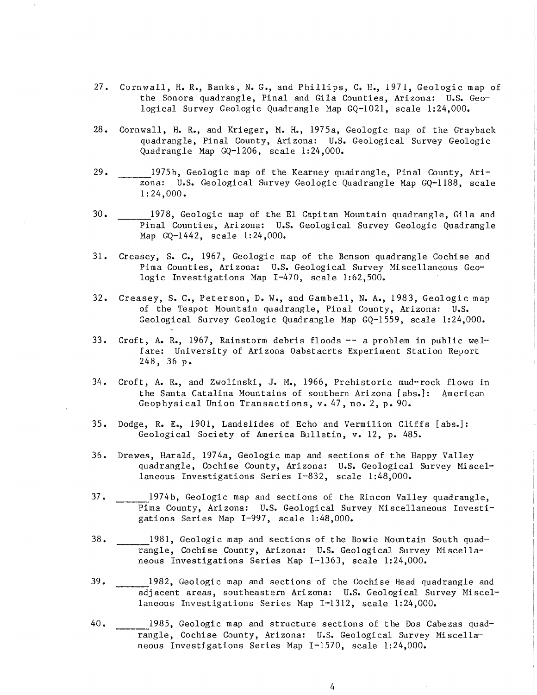- 27. Cornwall, H. R., Banks, N. G., and Phillips, C. H., 1971, Geologic map of the Sonora quadrangle, Pinal and Gila Counties, Arizona: U.S. Geological Survey Geologic Quadrangle Map GQ-1021, scale 1:24,000.
- 28. Cornwall, H. R., and Krieger, M. H., 1975a, Geologic map of the Grayback quadrangle, Pinal County, Arizona: U.S. Geological Survey Geologic Quadrangle Map GQ-1206, scale 1:24,000.
- 29. 1975b, Geologic map of the Kearney quadrangle, Pinal County, Arizona: U.S. Geological Survey Geologic Quadrangle Map GQ-1188, scale 1:24,000.
- 30. 1978, Geologic map of the El Capitan Mountain quadrangle, Gila and Pinal Counties, Ari zona: U.S. Geological Survey Geologic Quadrangle Map GQ-1442, scale 1:24,000.
- 31. Creasey, S. C., 1967, Geologic map of the Benson quadrangle Cochise and Pima Counties, Arizona: U.S. Geological Survey Miscellaneous Geologic Investigations Map 1-470, scale 1:62,500.
- 32. Creasey, S. C., Peterson, D. W., and Gambell, N. A., 1983, Geologic map of the Teapot Mountain quadrangle, Pinal County, Arizona: U.S. Geological Survey Geologic Quadrangle Map GQ-1559, scale 1: 24,000.
- 33. Croft, A. R., 1967, Rainstorm debris floods -- a problem in public weI- fare: University of Arizona Oabstacrts Experiment Station Report 248, 36 p.
- 34. Croft, A. R., and Zwolinski, J. M., 1966, Prehistoric mud--rock flows in the Santa Catalina Mountains of southern Arizona [abs.]: American Geophysical Union Transactions, v. 47, no. 2, p. 90.
- 35. Dodge, R. E., 1901, Landslides of Echo and Vermilion Cliffs [abs.]: Geological Society of America Bulletin, v. 12, p. 485.
- 36. Drewes, Harald, 1974a, Geologic map and sections of the Happy Valley quadrangle, Cochise County, Arizona: U.S. Geological Survey Miscellaneous Investigations Series 1-832, scale 1:48,000.
- 37. 1974b, Geologic map and sections of the Rincon Valley quadrangle, Pima County, Arizona: U.S. Geological Survey Miscellaneous Investigations Series Map I-997, scale 1:48,000.
- 38. 1981, Geologic map and sections of the Bowie Mountain South quadrangle, Cochise County, Arizona: U.S. Geological Survey Miscellaneous Investigations Series Map 1-1363, scale 1:24,000.
- 39. 1982, Geologic map and sections of the Cochise Head quadrangle and adj acent areas, southeastern Ari zona: U.S. Geological Survey Mi scellaneous Investigations Series Map 1-1312, scale 1:24,000.
- 40. 1985, Geologic map and structure sections of the Dos Cabezas quadrangle, Cochise County, Arizona: U.S. Geological Survey Miscellaneous Investigations Series Map 1-1570, scale 1:24,000.

4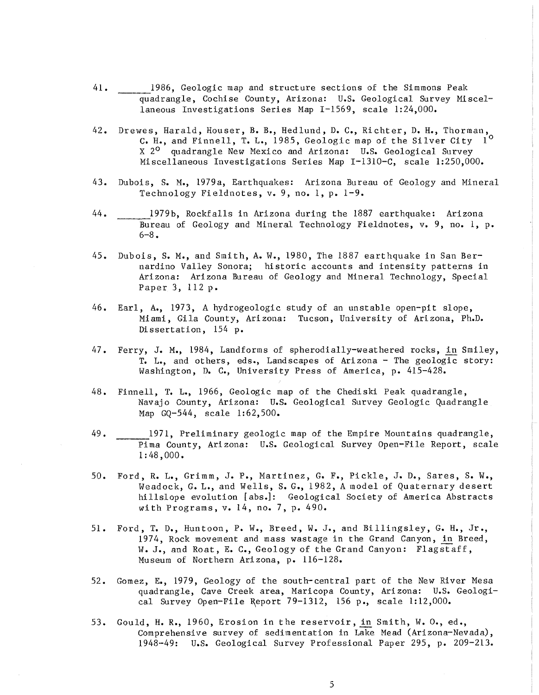- 41. 1986, Geologic map and structure sections of the Simmons Peak quadrangle, Cochise County, Arizona: U.S. Geological Survey Miscellaneous Investigations Series Map 1-1569, scale 1:24,000.
- 42. Drewes, Harald, Houser, B. B., Hedlund, D. C., Richter, D. H., Thorman, C. H., and Finnell, T. L., 1985, Geologic map of the Silver City 10 X 2<sup>0</sup> quadrangle New Mexico and Arizona: U.S. Geological Survey Miscellaneous Investigations Series Map I-1310-C, scale 1:250,000.
- 43. Dubois, S. M., 1979a, Earthquakes: Arizona Bureau of Geology and Mineral Technology Fieldnotes, v. 9, no. 1, p. 1-9.
- 44. \_\_\_\_\_\_ 1979b, Rockfalls in Arizona during the 1887 earthquake: Arizona Bureau of Geology and Mineral Technology Fieldnotes, v. 9, no. 1, p. 6-8.
- 45. Dubois, S. M., and Smith, A. W., 1980, The 1887 earthquake in San Bernardino Valley Sonora; historic accounts and intensity patterns in Arizona: Arizona Bureau of Geology and Mineral Technology, Special Paper 3, 112 p.
- 46. Earl, A., 1973, A hydrogeologic study of an unstable open-pit slope, Miami, Gila County, Arizona: Tucson, University of Arizona, Ph.D. Di ssertation, 154 p.
- 47. Ferry, J. M., 1984, Landforms of spherodially-weathered rocks, in Smiley, T. L., and others, eds., Landscapes of Arizona - The geologic story: Washington, D. C., University Press of America, p. 415-428.
- 48. Finnell, T. L., 1966, Geologic map of the Chediski Peak quadrangle, Navajo County, Arizona: U.S. Geological Survey Geologic Quadrangle Map GQ-544, scale 1:62,500.
- 49. 1971, Preliminary geologic map of the Empire Mountains quadrangle, Pima County, Arizona: U.S. Geological Survey Open-File Report, scale 1: 48,000.
- 50. Ford, R. L., Grimm, J. P., Martinez, G. F., Pickle, J. D., Sares, S. W., Weadock, G. L., and Wells, S. G., 1982, A model of Quaternary desert hillslope evolution [abs.]: Geological Society of America Abstracts with Programs, v. 14, no. 7, p. 490.
- 51. Ford, T. D., Huntoon, P. W., Breed, W. J., and Billingsley, G. H., Jr., 1974, Rock movement and mass wastage in the Grand Canyon, in Breed, W. J., and Roat, E. C., Geology of the Grand Canyon: Flagstaff, Museum of Northern Arizona, p. 116-128.
- 52. Gomez, E., 1979, Geology of the south-central part of the New River Mesa quadrangle, Cave Creek area, Maricopa County, Arizona: U.S. Geological Survey Open-File Report 79-1312, 156 p., scale 1:12,000.
- 53. Gould, H. R., 1960, Erosion in the reservoir, in Smith, W.O., ed., Comprehensive survey of sedimentation in Lake Mead (Arizona-Nevada), 1948-49: U.S. Geological Survey Professional Paper 295, p. 209-213.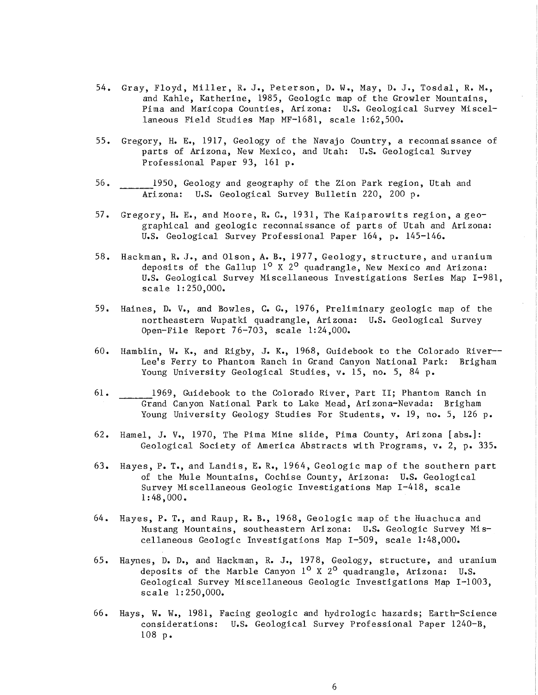- 54. Gray, Floyd, Miller, R. J., Peterson, D. W., May, D. J., Tosdal, R. M., and Kahle, Katherine, 1985, Geologic map of the Growler Mountains, Pima and Maricopa Counties, Arizona: U.S. Geological Survey Miscellaneous Field Studies Map MF-1681, scale 1:62,500.
- 55. Gregory, H. E., 1917, Geology of the Navajo Country, a reconnaissance of parts of Arizona, New Mexico, and Utah: U.S. Geological Survey Professional Paper 93, 161 p.
- 56. \_\_\_\_ 1950, Geology and geography of the Zion Park region, Utah and Arizona: U.S. Geological Survey Bulletin 220, 200 p.
- 57. Gregory, H. E., and Moore, R. C., 1931, The Kaiparowits region, a geographical and geologic reconnaissance of parts of Utah and Arizona: U.S. Geological Survey Professional Paper 164, p. 145-146.
- 58. Hackman, R. J., and Olson, A. B., 1977, Geology, structure, and uranium deposits of the Gallup  $1^{\circ}$  X  $2^{\circ}$  quadrangle, New Mexico and Arizona: U.S. Geological Survey Miscellaneous Investigations Series Map 1-981, scale 1: 250,000.
- 59. Haines, D. V., and Bowles, C. G., 1976, Preliminary geologic map of the northeastern Wupatki quadrangle, Arizona: U.S. Geological Survey Open-File Report 76-703, scale 1:24,000.
- 60. Hamblin, W. K., and Rigby, J. K., 1968, Guidebook to the Colorado River-- Lee's Ferry to Phantom Ranch in Grand Canyon National Park: Brigham Young University Geological Studies, v. 15, no. 5, 84 p.
- 61. 1969, Guidebook to the Colorado River, Part II; Phantom Ranch in Grand Canyon National Park to Lake Mead, Arizona-Nevada: Brigham Young University Geology Studies For Students, v. 19, no. 5, 126 p.
- 62. Hamel, J. V., 1970, The Pima Mine slide, Pima County, Arizona [abs.]: Geological Society of America Abstracts with Programs, v. 2, p. 335.
- 63. Hayes, P. T., and Landis, E. R., 1964, Geologic map of the southern part of the Mule Mountains, Cochise County, Arizona: U.S. Geological Survey Miscellaneous Geologic Investigations Map 1-418, scale 1: 48,000.
- 64. Hayes, P. T., and Raup, R. B., 1968, Geologic map of the Huachuca and Mustang Mountains, southeastern Arizona: U.S. Geologic Survey Miscellaneous Geologic Investigations Map 1-509, scale 1:48,000.
- 65. Haynes, D. D., and Hackman, R. J., 1978, Geology, structure, and uranium deposits of the Marble Canyon  $1^{\circ}$  X  $2^{\circ}$  quadrangle, Arizona: U.S. Geological Survey Miscellaneous Geologic Investigations Map 1-1003, scale 1:250,000.
- 66. Hays, W. W., 1981, Facing geologic and hydrologic hazards; Earth-Science considerations: U.S. Geological Survey Professional Paper 1240-B, 108 p.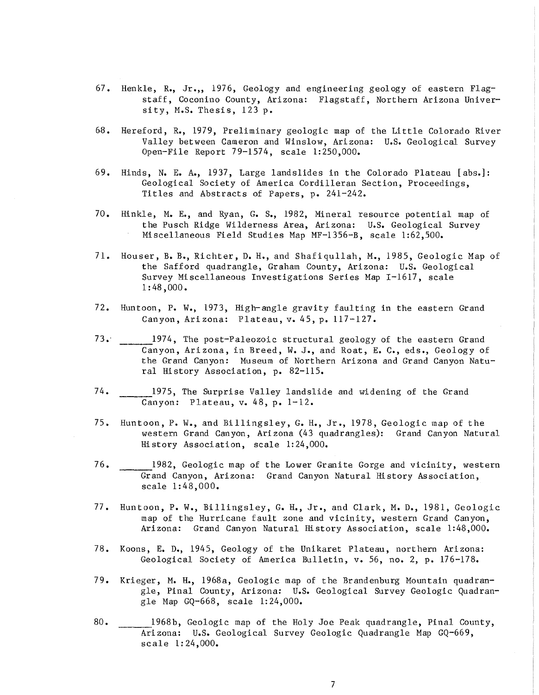- 67. Henkle, R., Jr.,, 1976, Geology and engineering geology of eastern Flagstaff, Coconino County, Arizona: Flagstaff, Northern Arizona University, M.S. Thesis, 123 p.
- 68. Hereford, R., 1979, Preliminary geologic map of the Little Colorado River Valley between Cameron and Winslow, Ari zona: U.S. Geological Survey Open-File Report 79-1574, scale 1:250,000.
- 69. Hinds, N. E. A., 1937, Large landslides in the Colorado Plateau [abse]: Geological Society of America Cordilleran Section, Proceedings, Titles and Abstracts of Papers, p. 241-242.
- 70. Hinkle, M. Eo, and Ryan, G. S., 1982, Mineral resource potential map of the Pusch Ridge Wilderness Area, Arizona: U.S. Geological Survey Miscellaneous Field Studies Map MF-1356-B, scale 1:62,500.
- 71. Houser, B. B., Richter, D. H., and Shafiqullah, M., 1985, Geologic Map of the Safford quadrangle, Graham County, Arizona: U.S. Geological Survey Miscellaneous Investigations Series Map 1-1617, scale 1: 48 ,000.
- 72. Huntoon, P. W., 1973, High-angle gravity faulting in the eastern Grand Canyon, Arizona: Plateau, v. 45, p. 117-127.
- 73." 1974, The post-Paleozoic structural geology of the eastern Grand Canyon, Arizona, in Breed, W. J., and Roat, E. C., eds., Geology of the Grand Canyon: Museum of Northern Arizona and Grand Canyon Natural History Association, p. 82-115.
- 74. 1975, The Surprise Valley landslide and widening of the Grand Canyon: Plateau, v. 48, p. 1-12.
- 75. Huntoon, P. W., and Billingsley, G. H., Jr., 1978, Geologic map of the western Grand Canyon, Ari zona (43 quadrangles): Grand Canyon Natural History Association, scale 1:24,000.
- 76. 1982, Geologic map of the Lower Granite Gorge and vicinity, western Grand Canyon, Arizona: Grand Canyon Natural History Association, scale 1:48,000.
- 77. Huntoon, P. W., Billingsley, G. H., Jr., and Clark, M. D., 1981, Geologic map of the Hurricane fault zone and vicinity, western Grand Canyon, Arizona: Grand Canyon Natural History Association, scale 1:48,000.
- 78. Koons, E. D., 1945, Geology of the Unikaret Plateau, northern Arizona: Geological Society of America Bulletin, v. 56, no. 2, p. 176-178.
- 79. Krieger, M. H., 1968a, Geologic map of the Brandenburg Mountain quadrangle, Pinal County, Arizona: U.S. Geological Survey Geologic Quadrangle Map GQ-668, scale 1:24,000.
- 80. !968b, Geologic map of the Holy Joe Peak quadrangle, Pinal County, Arizona: U.S. Geological Survey Geologic Quadrangle Map GQ-669, scale 1: 24,000.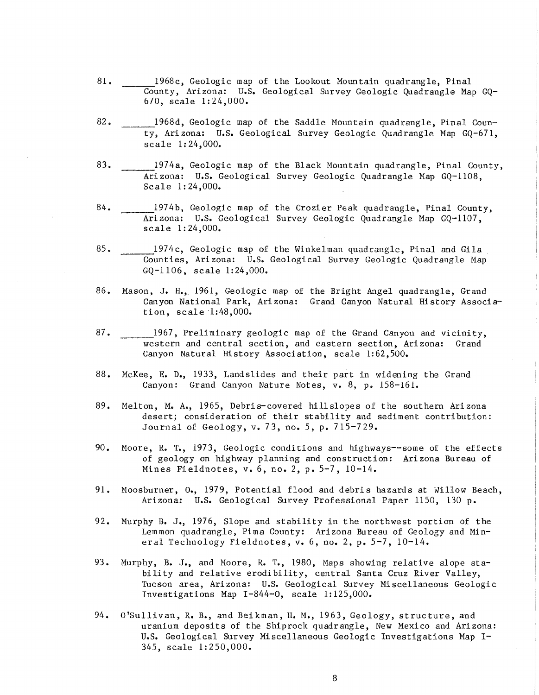- 81. 1968c, Geologic map of the Lookout Mountain quadrangle, Pinal County, Arizona: U.S. Geological Survey Geologic Quadrangle Map GQ-670, scale 1:24,000.
- 82. 1968d, Geologic map of the Saddle Mountain quadrangle, Pinal County, Arizona: U.S. Geological Survey Geologic Quadrangle Map GQ-671, scale 1: 24,000.
- 83. 1974a, Geologic map of the Black Mountain quadrangle, Pinal County, Arizona: U.S. Geological Survey Geologic Quadrangle Map GQ-ll08, Scale 1:24,000.
- 84. 1974b, Geologic map of the Crozier Peak quadrangle, Pinal County, Arizona: U.S. Geological Survey Geologic Quadrangle Map GQ-ll07, scale 1: 24,000.
- 85. 1974c, Geologic map of the Hinkelman quadrangle, Pinal and Gila Counties, Arizona: U.S. Geological Survey Geologic Quadrangle Map GQ-1106, scale 1:24,000.
- 86. Mason, J. H.,\_ 1961, Geologic map of the Bright Angel quadrangle, Grand Canyon National Park, Ari zona: Grand Canyon Natural Hi story Association, scale '1:48,000.
- 87. 1967, Preliminary geologic map of the Grand Canyon and vicinity, western and central section, and eastern section, Arizona: Grand Canyon Natural History Association, scale 1:62,500.
- 88. McKee, E. D., 1933, Landslides and their part in widening the Grand Canyon: Grand Canyon Nature Notes, v. 8, p. 158-161.
- 89. Melton, M. A., 1965, Debris-covered hillslopes of the southern Arizona desert; consideration of their stability and sediment contribution: Journal of Geology, v. 73, no. 5, p. 715-729.
- 90. Moore, R. T., 1973, Geologic conditions and highways--some of the effects of geology on highway planning and construction: Arizona Bureau of Mines Fieldnotes, v. 6, no. 2, p. 5-7, 10-14.
- 91. Moosburner, 0., 1979, Potential flood and debris hazards at Willow Beach, Arizona: U.S. Geological Survey Professional Paper 1150, 130 p.
- 92. Murphy B. J., 1976, Slope and stability in the northwest portion of the Lemmon quadrangle, Pima County: Arizona Bureau of Geology and Mineral Technology Fieldnotes, v. 6, no. 2, p. 5-7, 10-14.
- 93. Murphy, B. J., and Moore, R. T., 1980, Maps showing relative slope stability and relative erodibility, central Santa Cruz River Valley, Tucson area, Arizona: U.S. Geological Survey Mi scellaneous Geologic Investigations Map 1-844-0, scale 1:125,000.
- 94. O'Sullivan, R. B., and Beikman, **H.** M., 1963, Geology, structure, and uranium deposits of the Shiprock quadrangle, New Mexico and Arizona: U.S. Geological Survey Miscellaneous Geologic Investigations Map 1- 345, scale 1:250,000.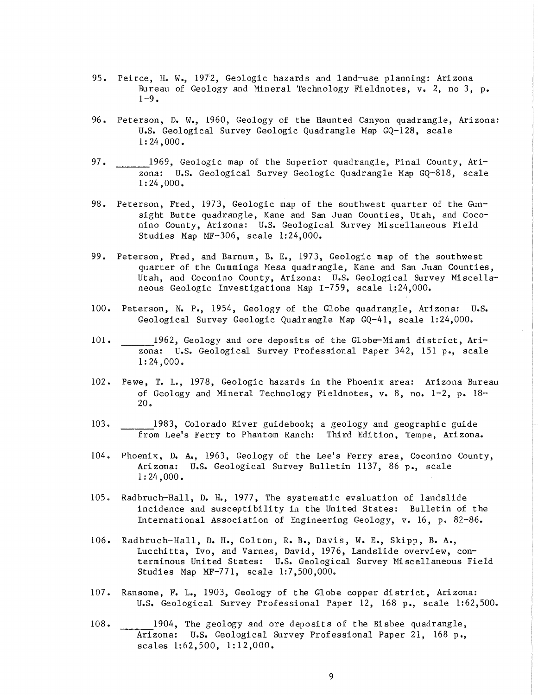- 95. Peirce, H. W., 1972, Geologic hazards and land-use planning: Ari zona Bureau of Geology and Mineral Technology Fieldnotes, v. 2, no 3, p.  $1 - 9$ .
- 96. Peterson, D. W., 1960, Geology of the Haunted Canyon quadrangle, Arizona: U.S. Geological Survey Geologic Quadrangle Map GQ-128, scale 1: 24,000.
- 97. 1969, Geologic map of the Superior quadrangle, Pinal County, Arizona: U.S. Geological Survey Geologic Quadrangle Map GQ-818, scale 1: 24 ,000.
- 98. Peterson, Fred, 1973, Geologic map of the southwest quarter of the Gunsight Butte quadrangle, Kane and San Juan Counties, Utah, and Coconino County, Arizona: U.S. Geological Survey Mi scellaneous Fi eld Studies Map MF-306, scale 1:24,000.
- 99. Peterson, Fred, and Barnum, B. E., 1973, Geologic map of the southwest quarter of the Cummings Mesa quadrangle, Kane and San Juan Counties, Utah, and Coconino County, Arizona: U.S. Geological Survey Miscellaneous Geologic Investigations Map 1-759, scale 1:24,000.
- 100. Peterson, N. P., 1954, Geology of the Globe quadrangle, Arizona: U.S. Geological Survey Geologic Quadrangle Map GQ-41, scale 1:24,000.
- 101. 1962, Geology and ore deposits of the Globe-Miami district, Arizona: U.S. Geological Survey Professional Paper 342, 151 p., scale 1: 24,000.
- 102. Pewe, T. L., 1978, Geologic hazards in the Phoenix area: Arizona Bureau of Geology and Mineral Technology Fieldnotes, v. 8, no. 1-2, p. 18- 20.
- 103. \_\_\_ 1983, Colorado River guidebook; a geology and geographic guide from Lee's Ferry to Phantom Ranch: Third Edition, Tempe, Arizona.
- 104. Phoenix, D. A., 1963, Geology of the Lee's Ferry area, Coconino County, Arizona: U.S. Geological Survey Bulletin 1137, 86 p., scale 1: 24,000.
- 105. Radbruch-Hall, D. H., 1977, The systematic evaluation of landslide incidence and susceptibility in the United States: Bulletin of the International Association of Engineering Geology, v. 16, p. 82-86.
- 106. Radbruch-Hall, D. H., Colton, R. B., Davis, W. E., Skipp, B. A., Lucchitta, Ivo, and Varnes, David, 1976, Landslide overview, conterminous United States: U.S. Geological Survey Miscellaneous Field Studies Map MF-771, scale 1:7,500,000.
- 107. Ransome, F. 1., 1903, Geology of the Globe copper district, Arizona: U.S. Geological Survey Professional Paper 12, 168 p., scale 1:62,500.
- 108. 1904, The geology and ore deposits of the Bisbee quadrangle, Arizona: U.S. Geological Survey Professional Paper 21, 168 p., scales 1:62,500, 1:12,000.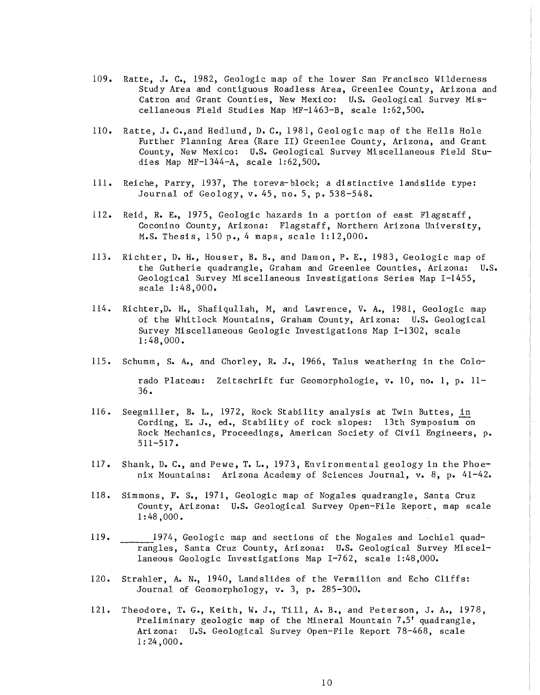- 109. Ratte, J. C., 1982, Geologic map of the lower San Francisco Wilderness Study Area and contiguous Roadless Area, Greenlee County, Arizona and Catron and Grant Counties, New Mexico: U.S. Geological Survey Miscellaneous Field Studies Map MF-1463-B, scale 1:62,500.
- 110. Ratte, J. C.,and Hedlund, D. C., 1981, Geologic map of the Hells Hole Further Planning Area (Rare II) Greenlee County, Arizona, and Grant County, New Mexico: U.S. Geological Survey Miscellaneous Field Studies Map MF-1344-A, scale 1:62,500.
- Ill. Reiche, Parry, 1937, The toreva-block; a distinctive landslide type: Journal of Geology, v. 45, no. 5, p. 538-548.
- 112. Reid, R. E., 1975, Geologic hazards in a portion of east Flagstaff, Coconino County, Arizona: Flagstaff, Northern Arizona University, M.S. Thesis, 150 p., 4 maps, scale 1:12,000.
- 113. Richter, D. H., Houser, B. B., and Damon, P. E., 1983, Geologic map of the Gutherie quadrangle, Graham and Greenlee Counties, Arizona: U.S. Geological Survey Miscellaneous Investigations Series Map 1-1455, scale 1:48,000.
- 114. Richter,D. H., Shafiqullah, M, and Lawrence, V. A., 1981, Geologic map of the Whitlock Mountains, Graham County, Arizona: U.S. Geological Survey Miscellaneous Geologic Investigations Map 1-1302, scale 1:48,000.
- 115. Schumm, S. A., and Chorley, R. J., 1966, Talus weathering in the Colorado Plateau: Zeitschrift fur Geomorphologie, v. 10, no. 1, p. 11- 36.
- 116. Seegmiller, B. L., 1972, Rock Stability analysis at Twin Buttes, in Cording, E. J., ed., Stability of rock slopes: 13th Symposium-on Rock Mechanics, Proceedings, American Society of Civil Engineers, p. 511-517.
- 117. Shank, D. C., and Pewe, T. L., 1973, Environmental geology in the Phoenix Mountains: Arizona Academy of Sciences Journal, v. 8, p. 41-42.
- 118. Simmons, F. S., 1971, Geologic map of Nogales quadrangle, Santa Cruz County, Ari zona: U.S. Geological Survey Open-File Report, map scale 1: 48,000.
- 119. 1974, Geologic map and sections of the Nogales and Lochiel quadrangles, Santa Cruz County, Arizona: U.S. Geological Survey Miscellaneous Geologic Investigations Map 1-762, scale 1:48,000.
- 120. Strahler, A. N., 1940, Landslides of the Vermilion and Echo Cliffs: Journal of Geomorphology, v. 3, p. 285-300.
- 121. Theodore, T. G., Keith, W. J., Till, A. B., and Peterson, J. A., 1978, Preliminary geologic map of the Mineral Mountain 7.5' quadrangle, Arizona: U.S. Geological Survey Open-File Report 78-468, scale  $1: 24,000.$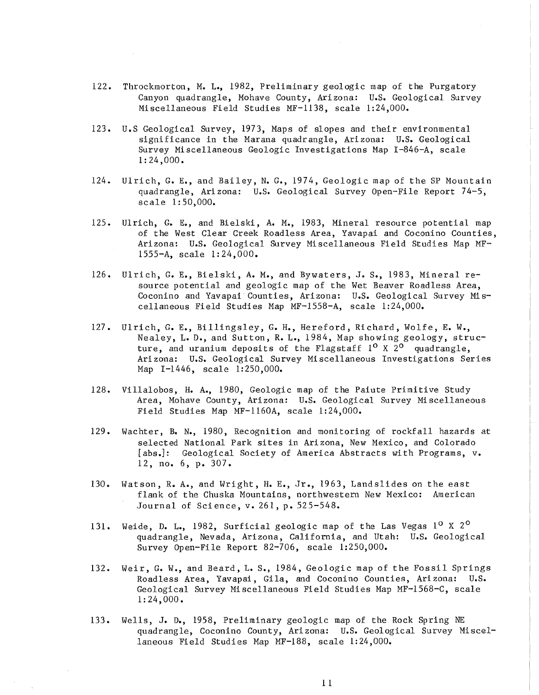- 122. Throckmorton, M. L., 1982, Preliminary geologic map of the Purgatory Canyon quadrangle, Mohave County, Arizona: u.s. Geological Survey Miscellaneous Field Studies MF-1138, scale 1:24,000.
- 123. U.S Geological Survey, 1973, Maps of slopes and their environmental significance in the Marana quadrangle, Ari zona: U.S. Geological Survey Miscellaneous Geologic Investigations Map I-846-A, scale 1:24,000.
- 124. Ulrich, G. E., and Bailey, N. G., 1974, Geologic map of the SP Mountain quadrangle, Arizona: U.S. Geological Survey Open-File Report 74-5, scale 1: 50,000.
- 125. Ulrich, G. E., and Bielski, A. M., 1983, Mineral resource potential map of the West Clear Creek Roadless Area, Yavapai and Coconino Counties, Arizona: U.S. Geological Survey Miscellaneous Field Studies Map MF-1555-A, scale 1:24,000.
- 126. Ulrich, G. E., Bielski, A. M., and Bywaters, J. S., 1983, Mineral resource potential and geologic map of the Wet Beaver Roadless Area, Coconino and Yavapai Counties, Arizona: U.S. Geological Survey Miscellaneous Field Studies Map MF-1558-A, scale 1:24,000.
- 127. Ulrich, G. E., Billingsley, G. H., Hereford, Richard, Wolfe, E. W., Nealey, L. D., and Sutton, R. L., 1984, Map showing geology, structure, and uranium deposits of the Flagstaff  $1^0$  X  $2^0$  quadrangle, Ari zona: U.S. Geological Survey Mi scellaneous Investigations Series Map 1-1446, scale 1:250,000.
- 128. Villalobos, H. *A.,* 1980, Geologic map of the Paiute Primitive Study Area, Mohave County, Arizona: U.S. Geological Survey Mi scellaneous Field Studies Map MF-1160A, scale 1:24,000.
- 129. Wachter, B. N., 1980, Recognition and monitoring of rockfall hazards at selected National Park sites in Arizona, New Mexico, and Colorado [abs.]: Geological Society of America Abstracts with Programs, v. 12, no. 6, p. 307.
- 130. Watson, R. A., and Wright, H. E., Jr., 1963, Landslides on the east flank of the Chuska Mountains, northwestern New Mexico: American Journal of Sci ence, v. 261, p. 525-548.
- 131. Weide, D. L., 1982, Surficial geologic map of the Las Vegas  $1^{\circ}$  X 2<sup>o</sup> quadrangle, Nevada, Arizona, California, and Utah: U.S. Geological Survey Open-File Report 82-706, scale 1:250,000.
- 132. Weir, G. W., and Beard, L. S., 1984, Geologic map of the Fossil Springs Roadless Area, Yavapai, Gila, and Coconino Counties, Ari zona: U.S. Geological Survey Miscellaneous Field Studies Map MF-1568-C, scale 1:24,000.
- 133. Wells, J. *D.,* 1958, Preliminary geologic map of the Rock Spring NE quadrangle, Coconino County, Arizona: U.S. Geological Survey Miscellaneous Field Studies Map MF-188, scale 1:24,000.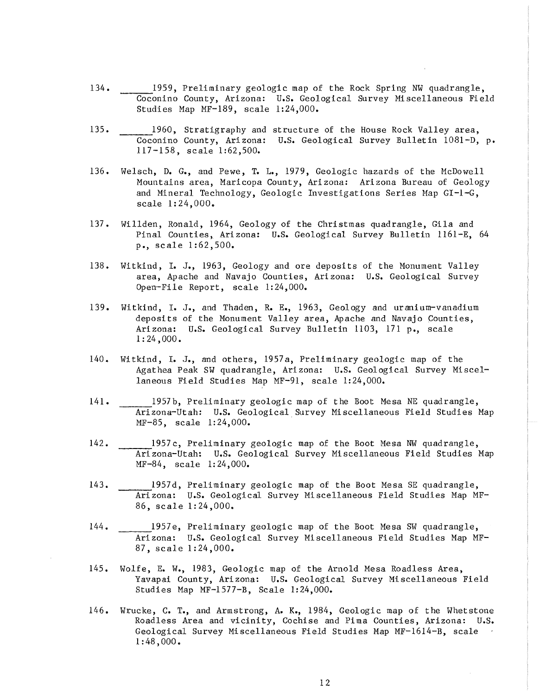- 134. 1959, Preliminary geologic map of the Rock Spring NW quadrangle, Coconino County, Arizona: U.S. Geological Survey Mi scellaneous Fi eld Studies Map MF-189, scale 1:24,000.
- 135. 1960, Stratigraphy and structure of the House Rock Valley area, Coconino County, Arizona: U.S. Geological Survey Bulletin 1081-D, p. 117-158, scale 1:62,500.
- 136. Welsch, D. G., and Pewe, T. L., 1979, Geologic hazards of the HcDowel1 Mountains area, Maricopa County, Arizona: Arizona Bureau of Geology and Mineral Technology, Geologic Investigations Series Map  $GI-I-G$ , scale 1:24,000.
- 137. Willden, Ronald, 1964, Geology of the Christmas quadrangle, Gila and Pinal Counties, Arizona: U.S. Geological Survey Bulletin 1161-E, 64 p., scale 1:62,500.
- 138. Witkind, I. J., 1963, Geology and ore deposits of the Honument Valley area, Apache and Navajo Counties, Arizona: U.s. Geological Survey Open-File Report, scale 1:24,000.
- 139. Witkind, I. J., and Thaden, R. E., 1963, Geology and uranium-vanadium deposits of the Monument Valley area, Apache and Navajo Counties, Ari zona: U.S. Geological Survey Bulletin 1103, 171 p., scale 1: 24,000.
- 140. Wi tkind, I. J., and others, 1957 a, Preliminary geologic map of the Agathea Peak SW quadrangle, Ari zona: U.S. Geological Survey Mi scellaneous Field Studies Map HF-91, scale 1:24,000.
- 141. 1957b, Preliminary geologic map of the Boot Hesa NE quadrangle, Arizona-Utah: U.S. Geological Survey Miscellaneous Field Studies Map MF-85, scale 1:24,000.
- 142. 1957c, Preliminary geologic map of the Boot Mesa NW quadrangle, Arizona-Utah: U.S. Geological Survey Miscellaneous Field Studies Map MF-84, scale 1:24,000.
- 143. 1957d, Preliminary geologic map of the Boot Mesa SE quadrangle, Arizona: U.S. Geological Survey Miscellaneous Field Studies Map MF-86, scale 1:24,000.
- 144. 1957e, Preliminary geologic map of the Boot Mesa SW quadrangle, Arizona: U.S. Geological Survey Miscellaneous Field Studies Map MF-87, scale 1:24,000.
- 145. Wolfe, E. We, 1983, Geologic map of the Arnold Mesa Roadless Area, Yavapai County, Arizona: U.S. Geological Survey Miscellaneous Field Studies Map MF-1577-B, Scale 1:24,000.
- 146. Wrucke, C. T., and Armstrong, A. K., 1984, Geologic map of the Whetstone Roadless Area and vicinity, Cochise and Pima Counties, Arizona: U.S. Geological Survey Miscellaneous Field Studies Hap MF-1614-B, scale 1:48,000.